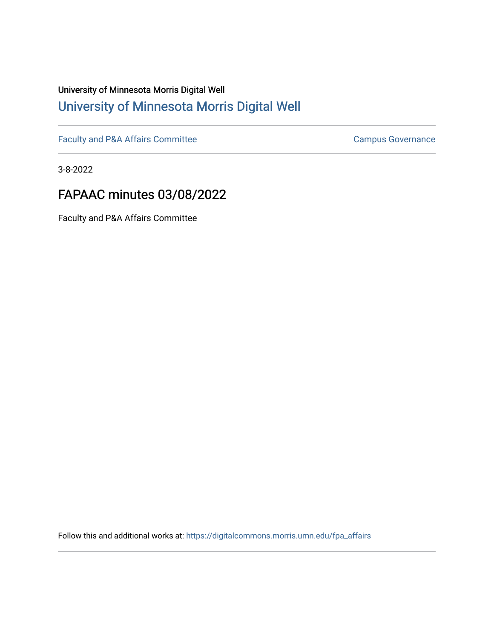# University of Minnesota Morris Digital Well [University of Minnesota Morris Digital Well](https://digitalcommons.morris.umn.edu/)

[Faculty and P&A Affairs Committee](https://digitalcommons.morris.umn.edu/fpa_affairs) [Campus Governance](https://digitalcommons.morris.umn.edu/campgov) Campus Governance

3-8-2022

# FAPAAC minutes 03/08/2022

Faculty and P&A Affairs Committee

Follow this and additional works at: [https://digitalcommons.morris.umn.edu/fpa\\_affairs](https://digitalcommons.morris.umn.edu/fpa_affairs?utm_source=digitalcommons.morris.umn.edu%2Ffpa_affairs%2F200&utm_medium=PDF&utm_campaign=PDFCoverPages)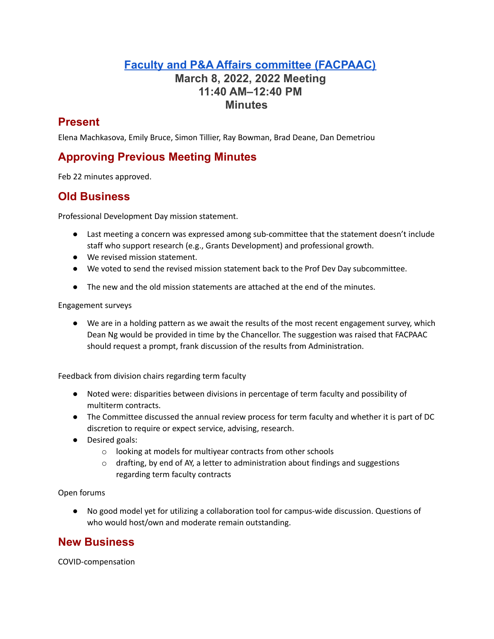## **Faculty and P&A Affairs committee [\(FACPAAC\)](https://committees.morris.umn.edu/faculty-and-pa-affairs-committee) March 8, 2022, 2022 Meeting 11:40 AM–12:40 PM Minutes**

### **Present**

Elena Machkasova, Emily Bruce, Simon Tillier, Ray Bowman, Brad Deane, Dan Demetriou

### **Approving Previous Meeting Minutes**

Feb 22 minutes approved.

### **Old Business**

Professional Development Day mission statement.

- Last meeting a concern was expressed among sub-committee that the statement doesn't include staff who support research (e.g., Grants Development) and professional growth.
- We revised mission statement.
- We voted to send the revised mission statement back to the Prof Dev Day subcommittee.
- The new and the old mission statements are attached at the end of the minutes.

Engagement surveys

● We are in a holding pattern as we await the results of the most recent engagement survey, which Dean Ng would be provided in time by the Chancellor. The suggestion was raised that FACPAAC should request a prompt, frank discussion of the results from Administration.

Feedback from division chairs regarding term faculty

- Noted were: disparities between divisions in percentage of term faculty and possibility of multiterm contracts.
- The Committee discussed the annual review process for term faculty and whether it is part of DC discretion to require or expect service, advising, research.
- Desired goals:
	- o looking at models for multiyear contracts from other schools
	- $\circ$  drafting, by end of AY, a letter to administration about findings and suggestions regarding term faculty contracts

Open forums

● No good model yet for utilizing a collaboration tool for campus-wide discussion. Questions of who would host/own and moderate remain outstanding.

### **New Business**

COVID-compensation